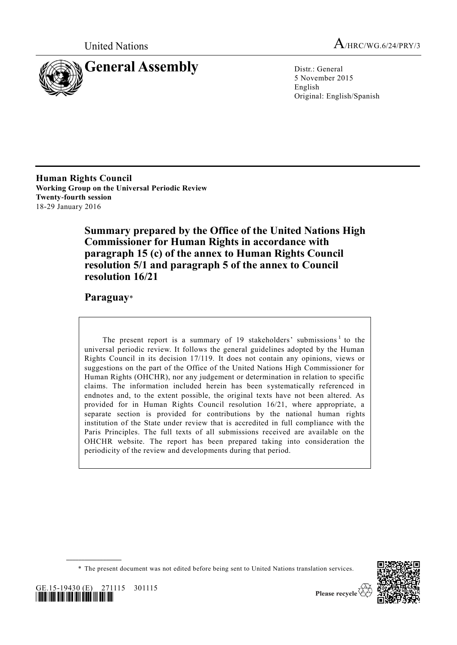



5 November 2015 English Original: English/Spanish

**Human Rights Council Working Group on the Universal Periodic Review Twenty-fourth session** 18-29 January 2016

> **Summary prepared by the Office of the United Nations High Commissioner for Human Rights in accordance with paragraph 15 (c) of the annex to Human Rights Council resolution 5/1 and paragraph 5 of the annex to Council resolution 16/21**

**Paraguay**\*

The present report is a summary of 19 stakeholders' submissions<sup>1</sup> to the universal periodic review. It follows the general guidelines adopted by the Human Rights Council in its decision 17/119. It does not contain any opinions, views or suggestions on the part of the Office of the United Nations High Commissioner for Human Rights (OHCHR), nor any judgement or determination in relation to specific claims. The information included herein has been systematically referenced in endnotes and, to the extent possible, the original texts have not been altered. As provided for in Human Rights Council resolution 16/21, where appropriate, a separate section is provided for contributions by the national human rights institution of the State under review that is accredited in full compliance with the Paris Principles. The full texts of all submissions received are available on the OHCHR website. The report has been prepared taking into consideration the periodicity of the review and developments during that period.

<sup>\*</sup> The present document was not edited before being sent to United Nations translation services.





**\_\_\_\_\_\_\_\_\_\_\_\_\_\_\_\_\_\_**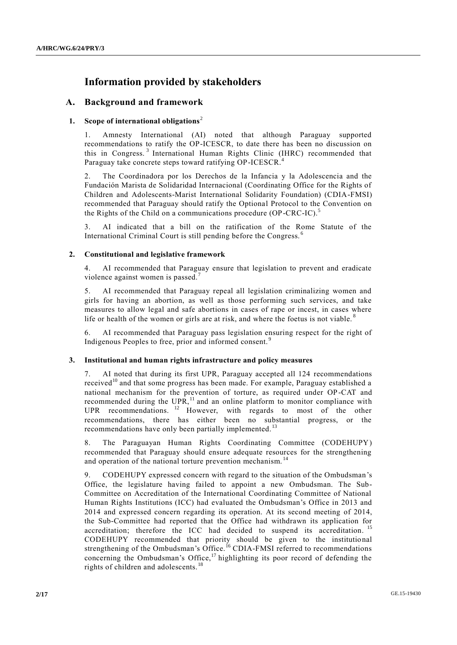# **Information provided by stakeholders**

# **A. Background and framework**

# **1. Scope of international obligations**<sup>2</sup>

1. Amnesty International (AI) noted that although Paraguay supported recommendations to ratify the OP-ICESCR, to date there has been no discussion on this in Congress. <sup>3</sup> International Human Rights Clinic (IHRC) recommended that Paraguay take concrete steps toward ratifying OP-ICESCR.<sup>4</sup>

2. The Coordinadora por los Derechos de la Infancia y la Adolescencia and the Fundación Marista de Solidaridad Internacional (Coordinating Office for the Rights of Children and Adolescents-Marist International Solidarity Foundation) (CDIA-FMSI) recommended that Paraguay should ratify the Optional Protocol to the Convention on the Rights of the Child on a communications procedure (OP-CRC-IC).<sup>5</sup>

3. AI indicated that a bill on the ratification of the Rome Statute of the International Criminal Court is still pending before the Congress. <sup>6</sup>

# **2. Constitutional and legislative framework**

4. AI recommended that Paraguay ensure that legislation to prevent and eradicate violence against women is passed.<sup>7</sup>

5. AI recommended that Paraguay repeal all legislation criminalizing women and girls for having an abortion, as well as those performing such services, and take measures to allow legal and safe abortions in cases of rape or incest, in cases where life or health of the women or girls are at risk, and where the foetus is not viable.<sup>8</sup>

6. AI recommended that Paraguay pass legislation ensuring respect for the right of Indigenous Peoples to free, prior and informed consent. <sup>9</sup>

# **3. Institutional and human rights infrastructure and policy measures**

7. AI noted that during its first UPR, Paraguay accepted all 124 recommendations received<sup>10</sup> and that some progress has been made. For example, Paraguay established a national mechanism for the prevention of torture, as required under OP-CAT and recommended during the  $UPR$ ,<sup>11</sup> and an online platform to monitor compliance with UPR recommendations. <sup>12</sup> However, with regards to most of the other recommendations, there has either been no substantial progress, or the recommendations have only been partially implemented.<sup>13</sup>

8. The Paraguayan Human Rights Coordinating Committee (CODEHUPY) recommended that Paraguay should ensure adequate resources for the strengthening and operation of the national torture prevention mechanism.<sup>14</sup>

9. CODEHUPY expressed concern with regard to the situation of the Ombudsman's Office, the legislature having failed to appoint a new Ombudsman. The Sub-Committee on Accreditation of the International Coordinating Committee of National Human Rights Institutions (ICC) had evaluated the Ombudsman's Office in 2013 and 2014 and expressed concern regarding its operation. At its second meeting of 2014, the Sub-Committee had reported that the Office had withdrawn its application for accreditation; therefore the ICC had decided to suspend its accreditation.<sup>15</sup> CODEHUPY recommended that priority should be given to the institutio nal strengthening of the Ombudsman's Office.<sup>16</sup> CDIA-FMSI referred to recommendations concerning the Ombudsman's Office,<sup>17</sup> highlighting its poor record of defending the rights of children and adolescents.<sup>18</sup>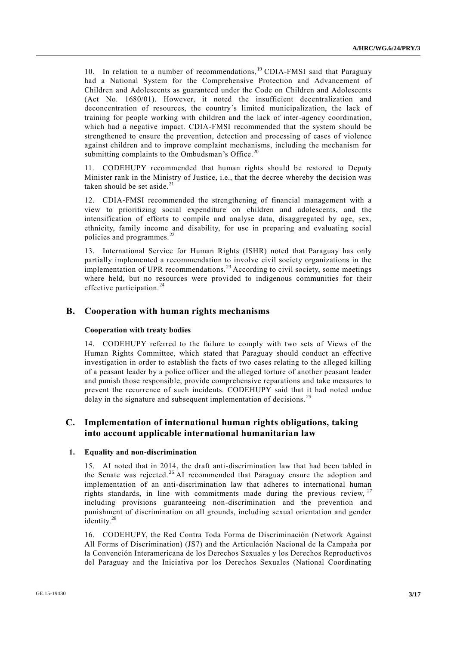10. In relation to a number of recommendations,<sup>19</sup> CDIA-FMSI said that Paraguay had a National System for the Comprehensive Protection and Advancement of Children and Adolescents as guaranteed under the Code on Children and Adolescents (Act No. 1680/01). However, it noted the insufficient decentralization and deconcentration of resources, the country's limited municipalization, the lack of training for people working with children and the lack of inter-agency coordination, which had a negative impact. CDIA-FMSI recommended that the system should be strengthened to ensure the prevention, detection and processing of cases of violence against children and to improve complaint mechanisms, including the mechanism for submitting complaints to the Ombudsman's Office.<sup>20</sup>

11. CODEHUPY recommended that human rights should be restored to Deputy Minister rank in the Ministry of Justice, i.e., that the decree whereby the decision was taken should be set aside. $21$ 

12. CDIA-FMSI recommended the strengthening of financial management with a view to prioritizing social expenditure on children and adolescents, and the intensification of efforts to compile and analyse data, disaggregated by age, sex, ethnicity, family income and disability, for use in preparing and evaluating social policies and programmes.<sup>22</sup>

13. International Service for Human Rights (ISHR) noted that Paraguay has only partially implemented a recommendation to involve civil society organizations in the implementation of UPR recommendations.<sup>23</sup> According to civil society, some meetings where held, but no resources were provided to indigenous communities for their effective participation.<sup>24</sup>

# **B. Cooperation with human rights mechanisms**

#### **Cooperation with treaty bodies**

14. CODEHUPY referred to the failure to comply with two sets of Views of the Human Rights Committee, which stated that Paraguay should conduct an effective investigation in order to establish the facts of two cases relating to the alleged killing of a peasant leader by a police officer and the alleged torture of another peasant leader and punish those responsible, provide comprehensive reparations and take measures to prevent the recurrence of such incidents. CODEHUPY said that it had noted undue delay in the signature and subsequent implementation of decisions.<sup>25</sup>

# **C. Implementation of international human rights obligations, taking into account applicable international humanitarian law**

#### **1. Equality and non-discrimination**

15. AI noted that in 2014, the draft anti-discrimination law that had been tabled in the Senate was rejected.<sup>26</sup> AI recommended that Paraguay ensure the adoption and implementation of an anti-discrimination law that adheres to international human rights standards, in line with commitments made during the previous review, <sup>27</sup> including provisions guaranteeing non-discrimination and the prevention and punishment of discrimination on all grounds, including sexual orientation and gender identity.<sup>28</sup>

16. CODEHUPY, the Red Contra Toda Forma de Discriminación (Network Against All Forms of Discrimination) (JS7) and the Articulación Nacional de la Campaña por la Convención Interamericana de los Derechos Sexuales y los Derechos Reproductivos del Paraguay and the Iniciativa por los Derechos Sexuales (National Coordinating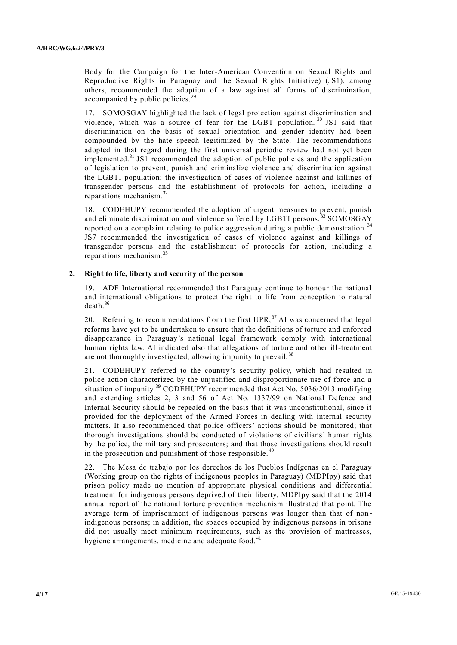Body for the Campaign for the Inter-American Convention on Sexual Rights and Reproductive Rights in Paraguay and the Sexual Rights Initiative) (JS1), among others, recommended the adoption of a law against all forms of discrimination, accompanied by public policies.<sup>29</sup>

17. SOMOSGAY highlighted the lack of legal protection against discrimination and violence, which was a source of fear for the LGBT population. <sup>30</sup> JS1 said that discrimination on the basis of sexual orientation and gender identity had been compounded by the hate speech legitimized by the State. The recommendations adopted in that regard during the first universal periodic review had not yet been implemented.<sup>31</sup> JS1 recommended the adoption of public policies and the application of legislation to prevent, punish and criminalize violence and discrimination against the LGBTI population; the investigation of cases of violence against and killings of transgender persons and the establishment of protocols for action, including a reparations mechanism. $32$ 

18. CODEHUPY recommended the adoption of urgent measures to prevent, punish and eliminate discrimination and violence suffered by LGBTI persons.<sup>33</sup> SOMOSGAY reported on a complaint relating to police aggression during a public demonstration. <sup>34</sup> JS7 recommended the investigation of cases of violence against and killings of transgender persons and the establishment of protocols for action, including a reparations mechanism.<sup>35</sup>

## **2. Right to life, liberty and security of the person**

19. ADF International recommended that Paraguay continue to honour the national and international obligations to protect the right to life from conception to natural death.<sup>36</sup>

20. Referring to recommendations from the first  $UPR$ ,  $^{37}$  AI was concerned that legal reforms have yet to be undertaken to ensure that the definitions of torture and enforced disappearance in Paraguay's national legal framework comply with international human rights law. AI indicated also that allegations of torture and other ill-treatment are not thoroughly investigated, allowing impunity to prevail.<sup>38</sup>

21. CODEHUPY referred to the country's security policy, which had resulted in police action characterized by the unjustified and disproportionate use of force and a situation of impunity.<sup>39</sup> CODEHUPY recommended that Act No. 5036/2013 modifying and extending articles 2, 3 and 56 of Act No. 1337/99 on National Defence and Internal Security should be repealed on the basis that it was unconstitutional, since it provided for the deployment of the Armed Forces in dealing with internal security matters. It also recommended that police officers' actions should be monitored; that thorough investigations should be conducted of violations of civilians' human rights by the police, the military and prosecutors; and that those investigations should result in the prosecution and punishment of those responsible.  $40$ 

22. The Mesa de trabajo por los derechos de los Pueblos Indígenas en el Paraguay (Working group on the rights of indigenous peoples in Paraguay) (MDPIpy) said that prison policy made no mention of appropriate physical conditions and differential treatment for indigenous persons deprived of their liberty. MDPIpy said that the 2014 annual report of the national torture prevention mechanism illustrated that point. The average term of imprisonment of indigenous persons was longer than that of non indigenous persons; in addition, the spaces occupied by indigenous persons in prisons did not usually meet minimum requirements, such as the provision of mattresses, hygiene arrangements, medicine and adequate food.<sup>41</sup>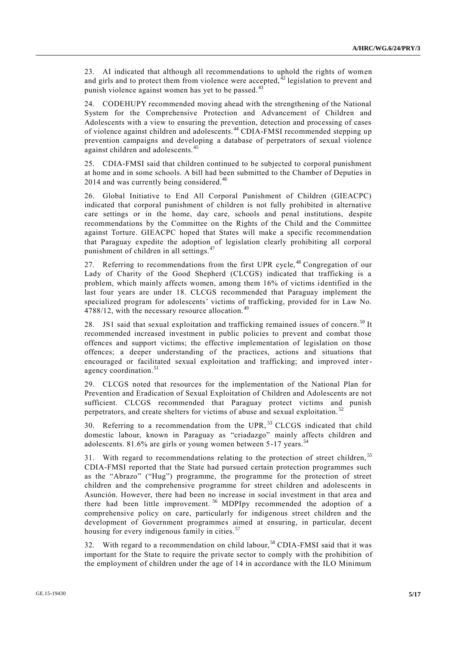23. AI indicated that although all recommendations to uphold the rights of women and girls and to protect them from violence were accepted,  $^{42}$  legislation to prevent and punish violence against women has yet to be passed.<sup>43</sup>

24. CODEHUPY recommended moving ahead with the strengthening of the National System for the Comprehensive Protection and Advancement of Children and Adolescents with a view to ensuring the prevention, detection and processing of cases of violence against children and adolescents. <sup>44</sup> CDIA-FMSI recommended stepping up prevention campaigns and developing a database of perpetrators of sexual violence against children and adolescents.<sup>45</sup>

25. CDIA-FMSI said that children continued to be subjected to corporal punishment at home and in some schools. A bill had been submitted to the Chamber of Deputies in 2014 and was currently being considered.<sup>46</sup>

26. Global Initiative to End All Corporal Punishment of Children (GIEACPC) indicated that corporal punishment of children is not fully prohibited in alternative care settings or in the home, day care, schools and penal institutions, despite recommendations by the Committee on the Rights of the Child and the Committee against Torture. GIEACPC hoped that States will make a specific recommendation that Paraguay expedite the adoption of legislation clearly prohibiting all corporal punishment of children in all settings.<sup>47</sup>

27. Referring to recommendations from the first UPR cycle,<sup>48</sup> Congregation of our Lady of Charity of the Good Shepherd (CLCGS) indicated that trafficking is a problem, which mainly affects women, among them 16% of victims identified in the last four years are under 18. CLCGS recommended that Paraguay implement the specialized program for adolescents' victims of trafficking, provided for in Law No. 4788/12, with the necessary resource allocation.<sup>49</sup>

28. JS1 said that sexual exploitation and trafficking remained issues of concern.<sup>50</sup> It recommended increased investment in public policies to prevent and combat those offences and support victims; the effective implementation of legislation on those offences; a deeper understanding of the practices, actions and situations that encouraged or facilitated sexual exploitation and trafficking; and improved interagency coordination.<sup>51</sup>

29. CLCGS noted that resources for the implementation of the National Plan for Prevention and Eradication of Sexual Exploitation of Children and Adolescents are not sufficient. CLCGS recommended that Paraguay protect victims and punish perpetrators, and create shelters for victims of abuse and sexual exploitation.<sup>52</sup>

30. Referring to a recommendation from the UPR, <sup>53</sup> CLCGS indicated that child domestic labour, known in Paraguay as "criadazgo" mainly affects children and adolescents. 81.6% are girls or young women between 5-17 years.<sup>54</sup>

31. With regard to recommendations relating to the protection of street children,<sup>55</sup> CDIA-FMSI reported that the State had pursued certain protection programmes such as the "Abrazo" ("Hug") programme, the programme for the protection of street children and the comprehensive programme for street children and adolescents in Asunción. However, there had been no increase in social investment in that area and there had been little improvement. <sup>56</sup> MDPIpy recommended the adoption of a comprehensive policy on care, particularly for indigenous street children and the development of Government programmes aimed at ensuring, in particular, decent housing for every indigenous family in cities.<sup>57</sup>

32. With regard to a recommendation on child labour,<sup>58</sup> CDIA-FMSI said that it was important for the State to require the private sector to comply with the prohibition of the employment of children under the age of 14 in accordance with the ILO Minimum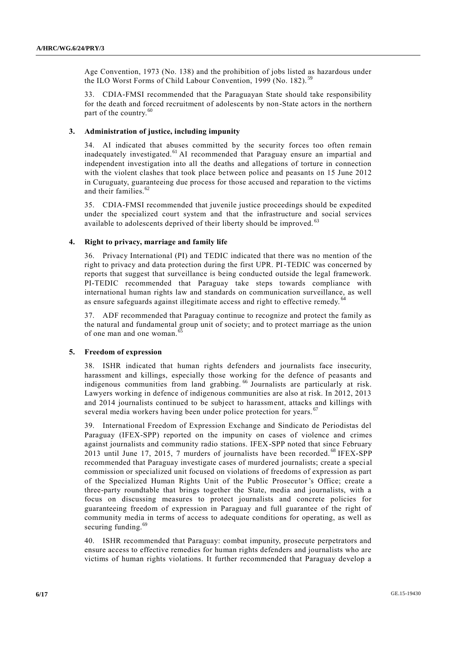Age Convention, 1973 (No. 138) and the prohibition of jobs listed as hazardous under the ILO Worst Forms of Child Labour Convention, 1999 (No. 182).<sup>59</sup>

33. CDIA-FMSI recommended that the Paraguayan State should take responsibility for the death and forced recruitment of adolescents by non-State actors in the northern part of the country.<sup>60</sup>

## **3. Administration of justice, including impunity**

34. AI indicated that abuses committed by the security forces too often remain inadequately investigated. <sup>61</sup> AI recommended that Paraguay ensure an impartial and independent investigation into all the deaths and allegations of torture in connection with the violent clashes that took place between police and peasants on 15 June 2012 in Curuguaty, guaranteeing due process for those accused and reparation to the victims and their families.<sup>62</sup>

35. CDIA-FMSI recommended that juvenile justice proceedings should be expedited under the specialized court system and that the infrastructure and social services available to adolescents deprived of their liberty should be improved.<sup>63</sup>

## **4. Right to privacy, marriage and family life**

36. Privacy International (PI) and TEDIC indicated that there was no mention of the right to privacy and data protection during the first UPR. PI-TEDIC was concerned by reports that suggest that surveillance is being conducted outside the legal framework. PI-TEDIC recommended that Paraguay take steps towards compliance with international human rights law and standards on communication surveillance, as well as ensure safeguards against illegitimate access and right to effective remedy.<sup>6</sup>

37. ADF recommended that Paraguay continue to recognize and protect the family as the natural and fundamental group unit of society; and to protect marriage as the union of one man and one woman.<sup>65</sup>

#### **5. Freedom of expression**

38. ISHR indicated that human rights defenders and journalists face insecurity, harassment and killings, especially those working for the defence of peasants and indigenous communities from land grabbing. <sup>66</sup> Journalists are particularly at risk. Lawyers working in defence of indigenous communities are also at risk. In 2012, 2013 and 2014 journalists continued to be subject to harassment, attacks and killings with several media workers having been under police protection for years.<sup>6</sup>

39. International Freedom of Expression Exchange and Sindicato de Periodistas del Paraguay (IFEX-SPP) reported on the impunity on cases of violence and crimes against journalists and community radio stations. IFEX-SPP noted that since February 2013 until June 17, 2015, 7 murders of journalists have been recorded.<sup>68</sup> IFEX-SPP recommended that Paraguay investigate cases of murdered journalists; create a speci al commission or specialized unit focused on violations of freedoms of expression as part of the Specialized Human Rights Unit of the Public Prosecutor's Office; create a three-party roundtable that brings together the State, media and journalists, with a focus on discussing measures to protect journalists and concrete policies for guaranteeing freedom of expression in Paraguay and full guarantee of the right of community media in terms of access to adequate conditions for operating, as well as securing funding.<sup>69</sup>

40. ISHR recommended that Paraguay: combat impunity, prosecute perpetrators and ensure access to effective remedies for human rights defenders and journalists who are victims of human rights violations. It further recommended that Paraguay develop a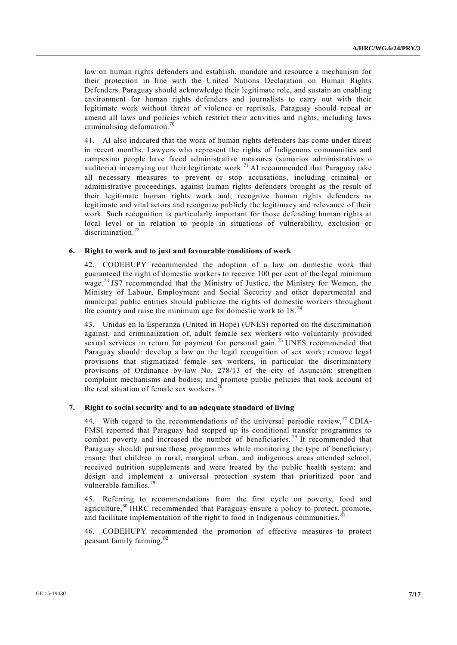law on human rights defenders and establish, mandate and resource a mechanism for their protection in line with the United Nations Declaration on Human Rights Defenders. Paraguay should acknowledge their legitimate role, and sustain an enabling environment for human rights defenders and journalists to carry out with their legitimate work without threat of violence or reprisals. Paraguay should repeal or amend all laws and policies which restrict their activities and rights, including laws criminalising defamation. $70$ 

41. AI also indicated that the work of human rights defenders has come under threat in recent months. Lawyers who represent the rights of Indigenous communities and campesino people have faced administrative measures (sumarios administrativos o auditoria) in carrying out their legitimate work. <sup>71</sup> AI recommended that Paraguay take all necessary measures to prevent or stop accusations, including criminal or administrative proceedings, against human rights defenders brought as the result of their legitimate human rights work and; recognize human rights defenders as legitimate and vital actors and recognize publicly the legitimacy and relevance of their work. Such recognition is particularly important for those defending human rights at local level or in relation to people in situations of vulnerability, exclusion or discrimination.<sup>72</sup>

## **6. Right to work and to just and favourable conditions of work**

42. CODEHUPY recommended the adoption of a law on domestic work that guaranteed the right of domestic workers to receive 100 per cent of the legal minimum wage.<sup>73</sup> JS7 recommended that the Ministry of Justice, the Ministry for Women, the Ministry of Labour, Employment and Social Security and other departmental and municipal public entities should publicize the rights of domestic workers throughout the country and raise the minimum age for domestic work to  $18.^{74}$ 

43. Unidas en la Esperanza (United in Hope) (UNES) reported on the discrimination against, and criminalization of, adult female sex workers who voluntarily provided sexual services in return for payment for personal gain.<sup>75</sup> UNES recommended that Paraguay should: develop a law on the legal recognition of sex work; remove legal provisions that stigmatized female sex workers, in particular the discriminatory provisions of Ordinance by-law No. 278/13 of the city of Asunción; strengthen complaint mechanisms and bodies; and promote public policies that took account of the real situation of female sex workers.

## **7. Right to social security and to an adequate standard of living**

44. With regard to the recommendations of the universal periodic review,  $\frac{77}{2}$  CDIA-FMSI reported that Paraguay had stepped up its conditional transfer programmes to combat poverty and increased the number of beneficiaries. <sup>78</sup> It recommended that Paraguay should: pursue those programmes while monitoring the type of beneficiary; ensure that children in rural, marginal urban, and indigenous areas attended school, received nutrition supplements and were treated by the public health system; and design and implement a universal protection system that prioritized poor and vulnerable families. $^{79}$ 

45. Referring to recommendations from the first cycle on poverty, food and agriculture, $80$  IHRC recommended that Paraguay ensure a policy to protect, promote, and facilitate implementation of the right to food in Indigenous communities.<sup>81</sup>

46. CODEHUPY recommended the promotion of effective measures to protect peasant family farming.<sup>82</sup>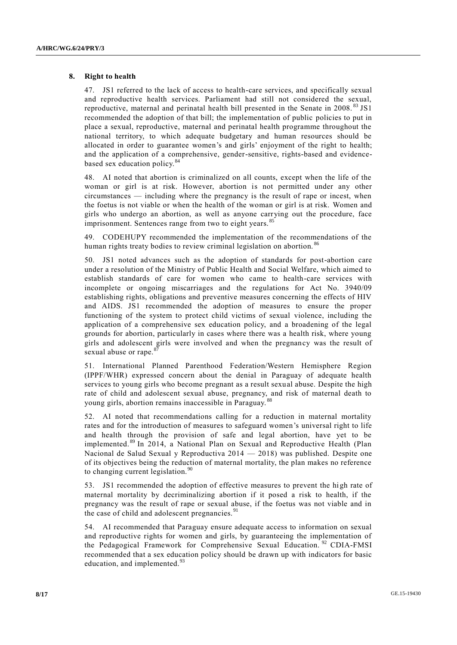#### **8. Right to health**

47. JS1 referred to the lack of access to health-care services, and specifically sexual and reproductive health services. Parliament had still not considered the sexual, reproductive, maternal and perinatal health bill presented in the Senate in 2008. <sup>83</sup> JS1 recommended the adoption of that bill; the implementation of public policies to put in place a sexual, reproductive, maternal and perinatal health programme throughout the national territory, to which adequate budgetary and human resources should be allocated in order to guarantee women's and girls' enjoyment of the right to health; and the application of a comprehensive, gender-sensitive, rights-based and evidencebased sex education policy.<sup>84</sup>

48. AI noted that abortion is criminalized on all counts, except when the life of the woman or girl is at risk. However, abortion is not permitted under any other circumstances — including where the pregnancy is the result of rape or incest, when the foetus is not viable or when the health of the woman or girl is at risk. Women and girls who undergo an abortion, as well as anyone carrying out the procedure, face imprisonment. Sentences range from two to eight years.<sup>85</sup>

49. CODEHUPY recommended the implementation of the recommendations of the human rights treaty bodies to review criminal legislation on abortion.<sup>86</sup>

50. JS1 noted advances such as the adoption of standards for post-abortion care under a resolution of the Ministry of Public Health and Social Welfare, which aimed to establish standards of care for women who came to health-care services with incomplete or ongoing miscarriages and the regulations for Act No. 3940/09 establishing rights, obligations and preventive measures concerning the effects of HIV and AIDS. JS1 recommended the adoption of measures to ensure the proper functioning of the system to protect child victims of sexual violence, including the application of a comprehensive sex education policy, and a broadening of the legal grounds for abortion, particularly in cases where there was a health risk, where young girls and adolescent girls were involved and when the pregnancy was the result of sexual abuse or rape.<sup>8</sup>

51. International Planned Parenthood Federation/Western Hemisphere Region (IPPF/WHR) expressed concern about the denial in Paraguay of adequate health services to young girls who become pregnant as a result sexual abuse. Despite the high rate of child and adolescent sexual abuse, pregnancy, and risk of maternal death to young girls, abortion remains inaccessible in Paraguay.

52. AI noted that recommendations calling for a reduction in maternal mortality rates and for the introduction of measures to safeguard women's universal right to life and health through the provision of safe and legal abortion, have yet to be implemented. <sup>89</sup> In 2014, a National Plan on Sexual and Reproductive Health (Plan Nacional de Salud Sexual y Reproductiva 2014 — 2018) was published. Despite one of its objectives being the reduction of maternal mortality, the plan makes no reference to changing current legislation.<sup>90</sup>

53. JS1 recommended the adoption of effective measures to prevent the high rate of maternal mortality by decriminalizing abortion if it posed a risk to health, if the pregnancy was the result of rape or sexual abuse, if the foetus was not viable and in the case of child and adolescent pregnancies.<sup>91</sup>

54. AI recommended that Paraguay ensure adequate access to information on sexual and reproductive rights for women and girls, by guaranteeing the implementation of the Pedagogical Framework for Comprehensive Sexual Education.<sup>92</sup> CDIA-FMSI recommended that a sex education policy should be drawn up with indicators for basic education, and implemented.<sup>93</sup>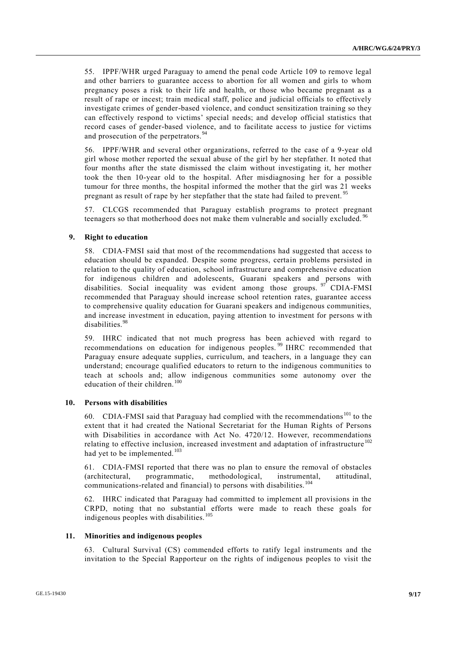55. IPPF/WHR urged Paraguay to amend the penal code Article 109 to remove legal and other barriers to guarantee access to abortion for all women and girls to whom pregnancy poses a risk to their life and health, or those who became pregnant as a result of rape or incest; train medical staff, police and judicial officials to effectively investigate crimes of gender-based violence, and conduct sensitization training so they can effectively respond to victims' special needs; and develop official statistics that record cases of gender-based violence, and to facilitate access to justice for victims and prosecution of the perpetrators. <sup>94</sup>

56. IPPF/WHR and several other organizations, referred to the case of a 9-year old girl whose mother reported the sexual abuse of the girl by her stepfather. It noted that four months after the state dismissed the claim without investigating it, her mother took the then 10-year old to the hospital. After misdiagnosing her for a possible tumour for three months, the hospital informed the mother that the girl was 21 weeks pregnant as result of rape by her stepfather that the state had failed to prevent.<sup>95</sup>

57. CLCGS recommended that Paraguay establish programs to protect pregnant teenagers so that motherhood does not make them vulnerable and socially excluded. <sup>96</sup>

## **9. Right to education**

58. CDIA-FMSI said that most of the recommendations had suggested that access to education should be expanded. Despite some progress, certain problems persisted in relation to the quality of education, school infrastructure and comprehensive education for indigenous children and adolescents, Guarani speakers and persons with disabilities. Social inequality was evident among those groups. <sup>97</sup> CDIA-FMSI recommended that Paraguay should increase school retention rates, guarantee access to comprehensive quality education for Guarani speakers and indigenous communities, and increase investment in education, paying attention to investment for persons with disabilities.<sup>98</sup>

59. IHRC indicated that not much progress has been achieved with regard to recommendations on education for indigenous peoples.<sup>99</sup> IHRC recommended that Paraguay ensure adequate supplies, curriculum, and teachers, in a language they can understand; encourage qualified educators to return to the indigenous communities to teach at schools and; allow indigenous communities some autonomy over the education of their children. $100$ 

#### **10. Persons with disabilities**

60. CDIA-FMSI said that Paraguay had complied with the recommendations <sup>101</sup> to the extent that it had created the National Secretariat for the Human Rights of Persons with Disabilities in accordance with Act No. 4720/12. However, recommendations relating to effective inclusion, increased investment and adaptation of infrastructure<sup>102</sup> had yet to be implemented.<sup>103</sup>

61. CDIA-FMSI reported that there was no plan to ensure the removal of obstacles (architectural, programmatic, methodological, instrumental, attitudinal, communications-related and financial) to persons with disabilities.<sup>104</sup>

62. IHRC indicated that Paraguay had committed to implement all provisions in the CRPD, noting that no substantial efforts were made to reach these goals for indigenous peoples with disabilities.<sup>105</sup>

#### **11. Minorities and indigenous peoples**

63. Cultural Survival (CS) commended efforts to ratify legal instruments and the invitation to the Special Rapporteur on the rights of indigenous peoples to visit the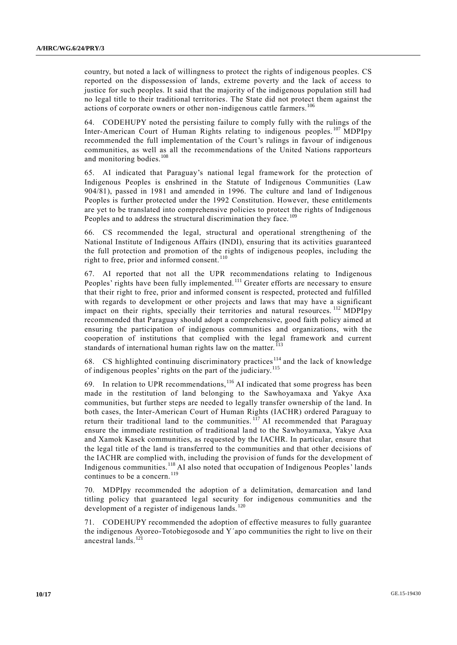country, but noted a lack of willingness to protect the rights of indigenous peoples. CS reported on the dispossession of lands, extreme poverty and the lack of access to justice for such peoples. It said that the majority of the indigenous population still had no legal title to their traditional territories. The State did not protect them against the actions of corporate owners or other non-indigenous cattle farmers.<sup>106</sup>

64. CODEHUPY noted the persisting failure to comply fully with the rulings of the Inter-American Court of Human Rights relating to indigenous peoples. <sup>107</sup> MDPIpy recommended the full implementation of the Court's rulings in favour of indigenous communities, as well as all the recommendations of the United Nations rapporteurs and monitoring bodies.<sup>108</sup>

65. AI indicated that Paraguay's national legal framework for the protection of Indigenous Peoples is enshrined in the Statute of Indigenous Communities (Law 904/81), passed in 1981 and amended in 1996. The culture and land of Indigenous Peoples is further protected under the 1992 Constitution. However, these entitlements are yet to be translated into comprehensive policies to protect the rights of Indigenous Peoples and to address the structural discrimination they face.<sup>109</sup>

66. CS recommended the legal, structural and operational strengthening of the National Institute of Indigenous Affairs (INDI), ensuring that its activities guaranteed the full protection and promotion of the rights of indigenous peoples, including the right to free, prior and informed consent. <sup>110</sup>

67. AI reported that not all the UPR recommendations relating to Indigenous Peoples' rights have been fully implemented.<sup>111</sup> Greater efforts are necessary to ensure that their right to free, prior and informed consent is respected, protected and fulfilled with regards to development or other projects and laws that may have a significant impact on their rights, specially their territories and natural resources. <sup>112</sup> MDPIpy recommended that Paraguay should adopt a comprehensive, good faith policy aimed at ensuring the participation of indigenous communities and organizations, with the cooperation of institutions that complied with the legal framework and current standards of international human rights law on the matter.<sup>113</sup>

68. CS highlighted continuing discriminatory practices<sup>114</sup> and the lack of knowledge of indigenous peoples' rights on the part of the judiciary.<sup>115</sup>

69. In relation to UPR recommendations,  $116$  AI indicated that some progress has been made in the restitution of land belonging to the Sawhoyamaxa and Yakye Axa communities, but further steps are needed to legally transfer ownership of the land. In both cases, the Inter-American Court of Human Rights (IACHR) ordered Paraguay to return their traditional land to the communities.  $117$  AI recommended that Paraguay ensure the immediate restitution of traditional land to the Sawhoyamaxa, Yakye Axa and Xamok Kasek communities, as requested by the IACHR. In particular, ensure that the legal title of the land is transferred to the communities and that other decisions of the IACHR are complied with, including the provision of funds for the development of Indigenous communities.<sup>118</sup> AI also noted that occupation of Indigenous Peoples' lands continues to be a concern.<sup>119</sup>

70. MDPIpy recommended the adoption of a delimitation, demarcation and land titling policy that guaranteed legal security for indigenous communities and the development of a register of indigenous lands.<sup>120</sup>

71. CODEHUPY recommended the adoption of effective measures to fully guarantee the indigenous Ayoreo-Totobiegosode and Y´apo communities the right to live on their ancestral lands.<sup>121</sup>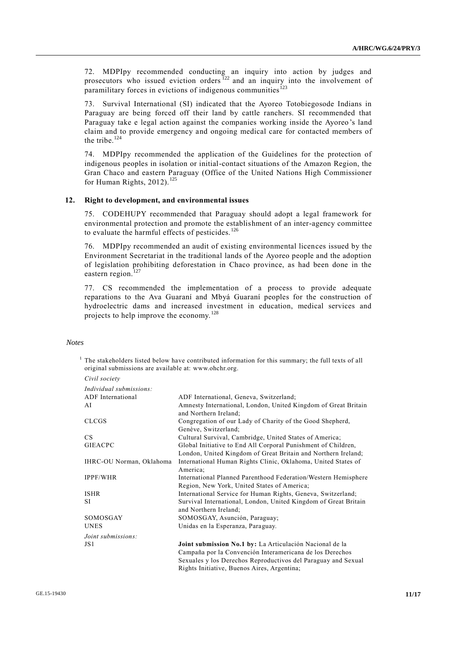72. MDPIpy recommended conducting an inquiry into action by judges and prosecutors who issued eviction orders <sup>122</sup> and an inquiry into the involvement of paramilitary forces in evictions of indigenous communities<sup>123</sup>

73. Survival International (SI) indicated that the Ayoreo Totobiegosode Indians in Paraguay are being forced off their land by cattle ranchers. SI recommended that Paraguay take e legal action against the companies working inside the Ayoreo 's land claim and to provide emergency and ongoing medical care for contacted members of the tribe. $124$ 

74. MDPIpy recommended the application of the Guidelines for the protection of indigenous peoples in isolation or initial-contact situations of the Amazon Region, the Gran Chaco and eastern Paraguay (Office of the United Nations High Commissioner for Human Rights,  $2012$ ).<sup>125</sup>

#### **12. Right to development, and environmental issues**

75. CODEHUPY recommended that Paraguay should adopt a legal framework for environmental protection and promote the establishment of an inter-agency committee to evaluate the harmful effects of pesticides.<sup>126</sup>

76. MDPIpy recommended an audit of existing environmental licences issued by the Environment Secretariat in the traditional lands of the Ayoreo people and the adoption of legislation prohibiting deforestation in Chaco province, as had been done in the eastern region. $127$ 

77. CS recommended the implementation of a process to provide adequate reparations to the Ava Guaraní and Mbyá Guaraní peoples for the construction of hydroelectric dams and increased investment in education, medical services and projects to help improve the economy. <sup>128</sup>

## *Notes*

<sup>1</sup> The stakeholders listed below have contributed information for this summary; the full texts of all original submissions are available at: [www.ohchr.org.](http://www.ohchr.org/)  $C: \mathbb{R}^n \to \mathbb{R}$ 

| Civil society            |                                                                                                                                |
|--------------------------|--------------------------------------------------------------------------------------------------------------------------------|
| Individual submissions:  |                                                                                                                                |
| ADF International        | ADF International, Geneva, Switzerland;                                                                                        |
| AI                       | Amnesty International, London, United Kingdom of Great Britain<br>and Northern Ireland:                                        |
| <b>CLCGS</b>             | Congregation of our Lady of Charity of the Good Shepherd,<br>Genève, Switzerland;                                              |
| CS                       | Cultural Survival, Cambridge, United States of America;                                                                        |
| <b>GIEACPC</b>           | Global Initiative to End All Corporal Punishment of Children,<br>London, United Kingdom of Great Britain and Northern Ireland; |
| IHRC-OU Norman, Oklahoma | International Human Rights Clinic, Oklahoma, United States of<br>America;                                                      |
| <b>IPPF/WHR</b>          | International Planned Parenthood Federation/Western Hemisphere<br>Region, New York, United States of America;                  |
| <b>ISHR</b>              | International Service for Human Rights, Geneva, Switzerland;                                                                   |
| SI                       | Survival International, London, United Kingdom of Great Britain<br>and Northern Ireland:                                       |
| SOMOSGAY                 | SOMOSGAY, Asunción, Paraguay;                                                                                                  |
| <b>UNES</b>              | Unidas en la Esperanza, Paraguay.                                                                                              |
| Joint submissions:       |                                                                                                                                |
| JS1                      | Joint submission No.1 by: La Articulación Nacional de la                                                                       |
|                          | Campaña por la Convención Interamericana de los Derechos                                                                       |
|                          | Sexuales y los Derechos Reproductivos del Paraguay and Sexual                                                                  |
|                          | Rights Initiative, Buenos Aires, Argentina;                                                                                    |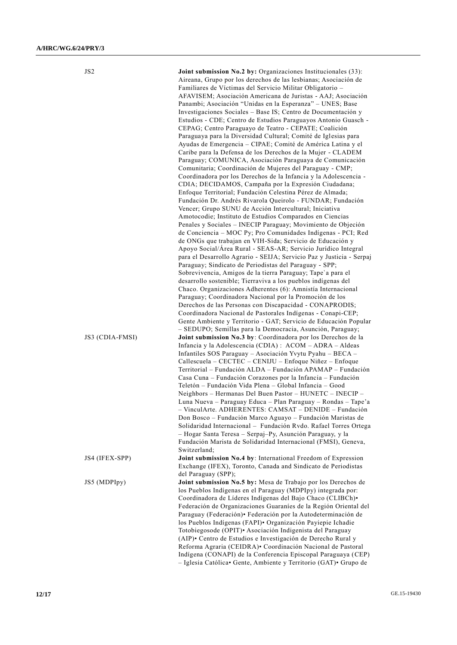| JS <sub>2</sub> | Joint submission No.2 by: Organizaciones Institucionales (33):<br>Aireana, Grupo por los derechos de las lesbianas; Asociación de<br>Familiares de Víctimas del Servicio Militar Obligatorio -<br>AFAVISEM; Asociación Americana de Juristas - AAJ; Asociación<br>Panambi; Asociación "Unidas en la Esperanza" – UNES; Base<br>Investigaciones Sociales – Base IS; Centro de Documentación y<br>Estudios - CDE; Centro de Estudios Paraguayos Antonio Guasch -<br>CEPAG; Centro Paraguayo de Teatro - CEPATE; Coalición<br>Paraguaya para la Diversidad Cultural; Comité de Iglesias para<br>Ayudas de Emergencia - CIPAE; Comité de América Latina y el<br>Caribe para la Defensa de los Derechos de la Mujer - CLADEM<br>Paraguay; COMUNICA, Asociación Paraguaya de Comunicación<br>Comunitaria; Coordinación de Mujeres del Paraguay - CMP;<br>Coordinadora por los Derechos de la Infancia y la Adolescencia -<br>CDIA; DECIDAMOS, Campaña por la Expresión Ciudadana;<br>Enfoque Territorial; Fundación Celestina Pérez de Almada; |
|-----------------|------------------------------------------------------------------------------------------------------------------------------------------------------------------------------------------------------------------------------------------------------------------------------------------------------------------------------------------------------------------------------------------------------------------------------------------------------------------------------------------------------------------------------------------------------------------------------------------------------------------------------------------------------------------------------------------------------------------------------------------------------------------------------------------------------------------------------------------------------------------------------------------------------------------------------------------------------------------------------------------------------------------------------------------|
|                 | Fundación Dr. Andrés Rivarola Queirolo - FUNDAR; Fundación<br>Vencer; Grupo SUNU de Acción Intercultural; Iniciativa<br>Amotocodie; Instituto de Estudios Comparados en Ciencias<br>Penales y Sociales - INECIP Paraguay; Movimiento de Objeción<br>de Conciencia - MOC Py; Pro Comunidades Indígenas - PCI; Red<br>de ONGs que trabajan en VIH-Sida; Servicio de Educación y<br>Apoyo Social/Área Rural - SEAS-AR; Servicio Jurídico Integral<br>para el Desarrollo Agrario - SEIJA; Servicio Paz y Justicia - Serpaj                                                                                                                                                                                                                                                                                                                                                                                                                                                                                                                   |
|                 | Paraguay; Sindicato de Periodistas del Paraguay - SPP;<br>Sobrevivencia, Amigos de la tierra Paraguay; Tape`a para el<br>desarrollo sostenible; Tierraviva a los pueblos indígenas del<br>Chaco. Organizaciones Adherentes (6): Amnistía Internacional<br>Paraguay; Coordinadora Nacional por la Promoción de los<br>Derechos de las Personas con Discapacidad - CONAPRODIS;<br>Coordinadora Nacional de Pastorales Indígenas - Conapi-CEP;                                                                                                                                                                                                                                                                                                                                                                                                                                                                                                                                                                                              |
| JS3 (CDIA-FMSI) | Gente Ambiente y Territorio - GAT; Servicio de Educación Popular<br>- SEDUPO; Semillas para la Democracia, Asunción, Paraguay;<br>Joint submission No.3 by: Coordinadora por los Derechos de la<br>Infancia y la Adolescencia (CDIA) : ACOM - ADRA - Aldeas<br>Infantiles SOS Paraguay - Asociación Yvytu Pyahu - BECA -<br>Callescuela – CECTEC – CENIJU – Enfoque Niñez – Enfoque<br>Territorial - Fundación ALDA - Fundación APAMAP - Fundación<br>Casa Cuna – Fundación Corazones por la Infancia – Fundación<br>Teletón - Fundación Vida Plena - Global Infancia - Good<br>Neighbors - Hermanas Del Buen Pastor - HUNETC - INECIP -<br>Luna Nueva - Paraguay Educa - Plan Paraguay - Rondas - Tape'a                                                                                                                                                                                                                                                                                                                                |
|                 | - VinculArte. ADHERENTES: CAMSAT - DENIDE - Fundación<br>Don Bosco - Fundación Marco Aguayo - Fundación Maristas de<br>Solidaridad Internacional - Fundación Rvdo. Rafael Torres Ortega<br>- Hogar Santa Teresa - Serpaj-Py, Asunción Paraguay, y la<br>Fundación Marista de Solidaridad Internacional (FMSI), Geneva,<br>Switzerland;                                                                                                                                                                                                                                                                                                                                                                                                                                                                                                                                                                                                                                                                                                   |
| JS4 (IFEX-SPP)  | Joint submission No.4 by: International Freedom of Expression<br>Exchange (IFEX), Toronto, Canada and Sindicato de Periodistas<br>del Paraguay (SPP);                                                                                                                                                                                                                                                                                                                                                                                                                                                                                                                                                                                                                                                                                                                                                                                                                                                                                    |
| JS5 (MDPIpy)    | Joint submission No.5 by: Mesa de Trabajo por los Derechos de<br>los Pueblos Indígenas en el Paraguay (MDPIpy) integrada por:<br>Coordinadora de Líderes Indígenas del Bajo Chaco (CLIBCh).<br>Federación de Organizaciones Guaraníes de la Región Oriental del<br>Paraguay (Federación) • Federación por la Autodeterminación de<br>los Pueblos Indígenas (FAPI) · Organización Payiepie Ichadie<br>Totobiegosode (OPIT) <sup>•</sup> Asociación Indigenista del Paraguay<br>(AIP) • Centro de Estudios e Investigación de Derecho Rural y<br>Reforma Agraria (CEIDRA) · Coordinación Nacional de Pastoral<br>Indígena (CONAPI) de la Conferencia Episcopal Paraguaya (CEP)<br>- Iglesia Católica• Gente, Ambiente y Territorio (GAT)• Grupo de                                                                                                                                                                                                                                                                                         |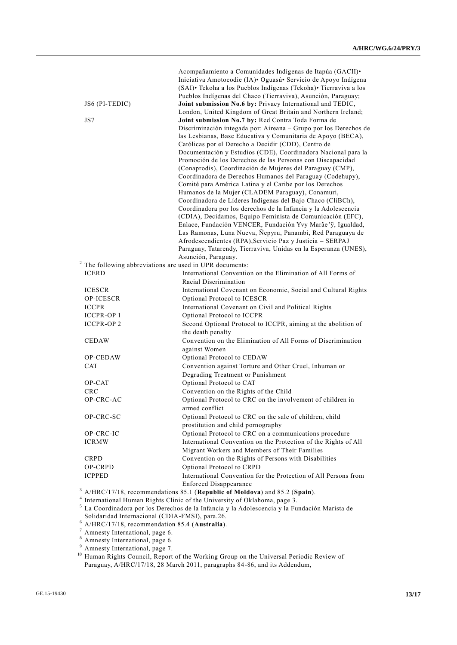|                  | Acompañamiento a Comunidades Indígenas de Itapúa (GACII).                     |
|------------------|-------------------------------------------------------------------------------|
|                  | Iniciativa Amotocodie (IA) · Oguasú · Servicio de Apoyo Indígena              |
|                  | (SAI) · Tekoha a los Pueblos Indígenas (Tekoha) · Tierraviva a los            |
|                  | Pueblos Indígenas del Chaco (Tierraviva), Asunción, Paraguay;                 |
| JS6 (PI-TEDIC)   | Joint submission No.6 by: Privacy International and TEDIC,                    |
|                  | London, United Kingdom of Great Britain and Northern Ireland;                 |
| JS7              | Joint submission No.7 by: Red Contra Toda Forma de                            |
|                  | Discriminación integada por: Aireana - Grupo por los Derechos de              |
|                  | las Lesbianas, Base Educativa y Comunitaria de Apoyo (BECA),                  |
|                  | Católicas por el Derecho a Decidir (CDD), Centro de                           |
|                  | Documentación y Estudios (CDE), Coordinadora Nacional para la                 |
|                  | Promoción de los Derechos de las Personas con Discapacidad                    |
|                  | (Conaprodis), Coordinación de Mujeres del Paraguay (CMP),                     |
|                  | Coordinadora de Derechos Humanos del Paraguay (Codehupy),                     |
|                  | Comité para América Latina y el Caribe por los Derechos                       |
|                  | Humanos de la Mujer (CLADEM Paraguay), Conamuri,                              |
|                  | Coordinadora de Líderes Indígenas del Bajo Chaco (CliBCh),                    |
|                  | Coordinadora por los derechos de la Infancia y la Adolescencia                |
|                  | (CDIA), Decidamos, Equipo Feminista de Comunicación (EFC),                    |
|                  | Enlace, Fundación VENCER, Fundación Yvy Marãe'ỹ, Igualdad,                    |
|                  | Las Ramonas, Luna Nueva, Ñepyru, Panambi, Red Paraguaya de                    |
|                  | Afrodescendientes (RPA), Servicio Paz y Justicia - SERPAJ                     |
|                  | Paraguay, Tatarendy, Tierraviva, Unidas en la Esperanza (UNES),               |
|                  | Asunción, Paraguay.                                                           |
|                  | The following abbreviations are used in UPR documents:                        |
| <b>ICERD</b>     | International Convention on the Elimination of All Forms of                   |
|                  | Racial Discrimination                                                         |
| <b>ICESCR</b>    | International Covenant on Economic, Social and Cultural Rights                |
| OP-ICESCR        | Optional Protocol to ICESCR                                                   |
| <b>ICCPR</b>     | International Covenant on Civil and Political Rights                          |
| <b>ICCPR-OP1</b> | Optional Protocol to ICCPR                                                    |
| <b>ICCPR-OP2</b> | Second Optional Protocol to ICCPR, aiming at the abolition of                 |
|                  | the death penalty                                                             |
| <b>CEDAW</b>     | Convention on the Elimination of All Forms of Discrimination                  |
|                  | against Women                                                                 |
| <b>OP-CEDAW</b>  | Optional Protocol to CEDAW                                                    |
| <b>CAT</b>       | Convention against Torture and Other Cruel, Inhuman or                        |
|                  | Degrading Treatment or Punishment                                             |
| OP-CAT           | Optional Protocol to CAT                                                      |
| <b>CRC</b>       | Convention on the Rights of the Child                                         |
| OP-CRC-AC        | Optional Protocol to CRC on the involvement of children in                    |
|                  | armed conflict                                                                |
| OP-CRC-SC        | Optional Protocol to CRC on the sale of children, child                       |
|                  | prostitution and child pornography                                            |
| OP-CRC-IC        | Optional Protocol to CRC on a communications procedure                        |
| <b>ICRMW</b>     | International Convention on the Protection of the Rights of All               |
|                  | Migrant Workers and Members of Their Families                                 |
| <b>CRPD</b>      | Convention on the Rights of Persons with Disabilities                         |
| OP-CRPD          | Optional Protocol to CRPD                                                     |
| <b>ICPPED</b>    | International Convention for the Protection of All Persons from               |
|                  | Enforced Disappearance                                                        |
|                  | $3$ A/HRC/17/18, recommendations 85.1 (Republic of Moldova) and 85.2 (Spain). |

<sup>3</sup> A/HRC/17/18, recommendations 85.1 (Republic of Moldova) and 85.2 (Spain).<br><sup>4</sup> International Human Rights Clinic of the University of Oklahoma, page 3.<br><sup>5</sup> La Coordinadora por los Derechos de la Infancia y la Adolescen Solidaridad Internacional (CDIA-FMSI), para.26.

<sup>6</sup> A/HRC/17/18, recommendation 85.4 (**Australia**).

 $7$  Amnesty International, page 6.

<sup>8</sup> Amnesty International, page 6.

<sup>9</sup> Amnesty International, page 7.

<sup>10</sup> Human Rights Council, Report of the Working Group on the Universal Periodic Review of Paraguay, A/HRC/17/18, 28 March 2011, paragraphs 84-86, and its Addendum,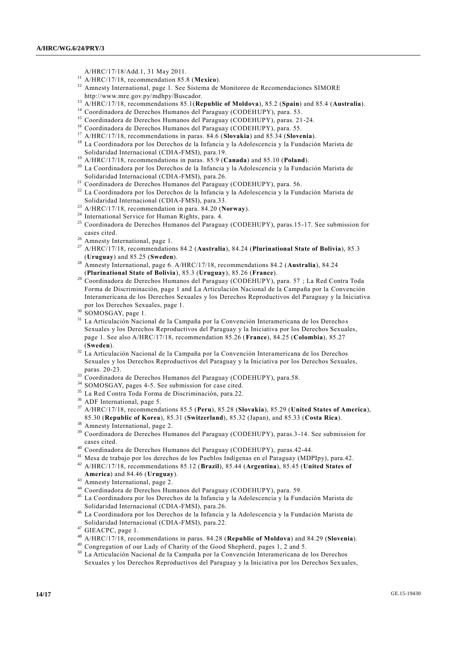- A/HRC/17/18/Add.1, 31 May 2011.
- <sup>11</sup> A/HRC/17/18, recommendation 85.8 (**Mexico**).
- <sup>12</sup> Amnesty International, page 1. See Sistema de Monitoreo de Recomendaciones SIMORE http://www.mre.gov.py/mdhpy/Buscador.
- <sup>13</sup> A/HRC/17/18, recommendations 85.1(**Republic of Moldova**), 85.2 (**Spain**) and 85.4 (**Australia**).
- <sup>14</sup> Coordinadora de Derechos Humanos del Paraguay (CODEHUPY), para. 53.
- <sup>15</sup> Coordinadora de Derechos Humanos del Paraguay (CODEHUPY), paras. 21-24.
- <sup>16</sup> Coordinadora de Derechos Humanos del Paraguay (CODEHUPY), para. 55.
- <sup>17</sup> A/HRC/17/18, recommendations in paras. 84.6 (**Slovakia**) and 85.34 (**Slovenia**).
- <sup>18</sup> La Coordinadora por los Derechos de la Infancia y la Adolescencia y la Fundación Marista de Solidaridad Internacional (CDIA-FMSI), para.19.
- <sup>19</sup> A/HRC/17/18, recommendations in paras. 85.9 (**Canada**) and 85.10 (**Poland**).
- <sup>20</sup> La Coordinadora por los Derechos de la Infancia y la Adolescencia y la Fundación Marista de Solidaridad Internacional (CDIA-FMSI), para.26.
- <sup>21</sup> Coordinadora de Derechos Humanos del Paraguay (CODEHUPY), para. 56.
- <sup>22</sup> La Coordinadora por los Derechos de la Infancia y la Adolescencia y la Fundación Marista de Solidaridad Internacional (CDIA-FMSI), para.33.
- <sup>23</sup> A/HRC/17/18, recommendation in para. 84.20 (**Norway**).
- <sup>24</sup> International Service for Human Rights, para. 4.
- <sup>25</sup> Coordinadora de Derechos Humanos del Paraguay (CODEHUPY), paras.15-17. See submission for cases cited.
- <sup>26</sup> Amnesty International, page 1.
- <sup>27</sup> A/HRC/17/18, recommendations 84.2 (**Australia**), 84.24 (**Plurinational State of Bolivia**), 85.3 (**Uruguay**) and 85.25 (**Sweden**).
- <sup>28</sup> Amnesty International, page 6. A/HRC/17/18, recommendations 84.2 (**Australia**), 84.24 (**Plurinational State of Bolivia**), 85.3 (**Uruguay**), 85.26 (**France**).
- <sup>29</sup> Coordinadora de Derechos Humanos del Paraguay (CODEHUPY), para. 57 ; La Red Contra Toda Forma de Discriminación, page 1 and La Articulación Nacional de la Campaña por la Convención Interamericana de los Derechos Sexuales y los Derechos Reproductivos del Paraguay y la Iniciativa por los Derechos Sexuales, page 1.
- <sup>30</sup> SOMOSGAY, page 1.
- <sup>31</sup> La Articulación Nacional de la Campaña por la Convención Interamericana de los Derecho s Sexuales y los Derechos Reproductivos del Paraguay y la Iniciativa por los Derechos Sexuales, page 1. See also A/HRC/17/18, recommendation 85.26 (**France**), 84.25 (**Colombia**), 85.27 (**Sweden**).
- <sup>32</sup> La Articulación Nacional de la Campaña por la Convención Interamericana de los Derechos Sexuales y los Derechos Reproductivos del Paraguay y la Iniciativa por los Derechos Sexuales, paras. 20-23.
- 33 Coordinadora de Derechos Humanos del Paraguay (CODEHUPY), para.58.
- <sup>34</sup> SOMOSGAY, pages 4-5. See submission for case cited.
- <sup>35</sup> La Red Contra Toda Forma de Discriminación, para.22.
- <sup>36</sup> ADF International, page 5.
- <sup>37</sup> A/HRC/17/18, recommendations 85.5 (**Peru**), 85.28 (**Slovakia**), 85.29 (**United States of America**), 85.30 (**Republic of Korea**), 85.31 (**Switzerland**), 85.32 (Japan), and 85.33 (**Costa Rica**).
- <sup>38</sup> Amnesty International, page 2.
- <sup>39</sup> Coordinadora de Derechos Humanos del Paraguay (CODEHUPY), paras.3-14. See submission for cases cited.
- <sup>40</sup> Coordinadora de Derechos Humanos del Paraguay (CODEHUPY), paras.42-44.
- <sup>41</sup> Mesa de trabajo por los derechos de los Pueblos Indígenas en el Paraguay (MDPIpy), para.42.
- <sup>42</sup> A/HRC/17/18, recommendations 85.12 (**Brazil**), 85.44 (**Argentina**), 85.45 (**United States of America**) and 84.46 (**Uruguay**).
- Amnesty International, page 2.
- <sup>44</sup> Coordinadora de Derechos Humanos del Paraguay (CODEHUPY), para. 59.
- <sup>45</sup> La Coordinadora por los Derechos de la Infancia y la Adolescencia y la Fundación Marista de Solidaridad Internacional (CDIA-FMSI), para.26.
- <sup>46</sup> La Coordinadora por los Derechos de la Infancia y la Adolescencia y la Fundación Marista de Solidaridad Internacional (CDIA-FMSI), para.22.

- <sup>48</sup> A/HRC/17/18, recommendations in paras. 84.28 (**Republic of Moldova**) and 84.29 (**Slovenia**).
- <sup>49</sup> Congregation of our Lady of Charity of the Good Shepherd, pages 1, 2 and 5.
- <sup>50</sup> La Articulación Nacional de la Campaña por la Convención Interamericana de los Derechos Sexuales y los Derechos Reproductivos del Paraguay y la Iniciativa por los Derechos Sex uales,

<sup>&</sup>lt;sup>47</sup> GIEACPC, page 1.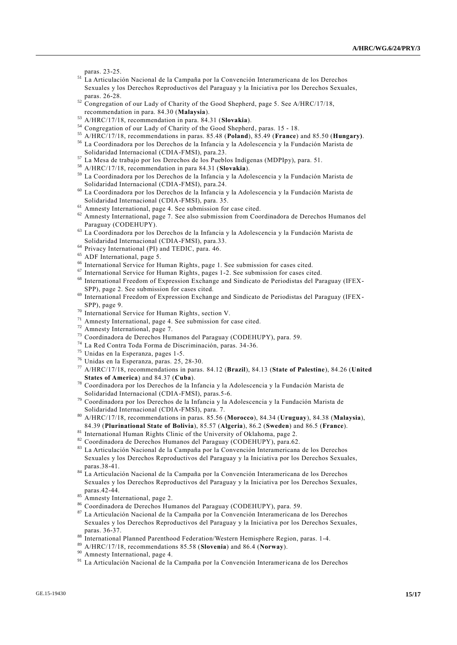paras. 23-25.

- <sup>51</sup> La Articulación Nacional de la Campaña por la Convención Interamericana de los Derechos Sexuales y los Derechos Reproductivos del Paraguay y la Iniciativa por los Derechos Sexuales, paras. 26-28.
- $52$  Congregation of our Lady of Charity of the Good Shepherd, page 5. See A/HRC/17/18, recommendation in para. 84.30 (**Malaysia**).
- <sup>53</sup> A/HRC/17/18, recommendation in para. 84.31 (**Slovakia**).
- <sup>54</sup> Congregation of our Lady of Charity of the Good Shepherd, paras. 15 18.
- <sup>55</sup> A/HRC/17/18, recommendations in paras. 85.48 (**Poland**), 85.49 (**France**) and 85.50 (**Hungary)**.
- <sup>56</sup> La Coordinadora por los Derechos de la Infancia y la Adolescencia y la Fundación Marista de Solidaridad Internacional (CDIA-FMSI), para.23.
- <sup>57</sup> La Mesa de trabajo por los Derechos de los Pueblos Indígenas (MDPIpy), para. 51.
- <sup>58</sup> A/HRC/17/18, recommendation in para 84.31 (**Slovakia**).
- <sup>59</sup> La Coordinadora por los Derechos de la Infancia y la Adolescencia y la Fundación Marista de Solidaridad Internacional (CDIA-FMSI), para.24.
- $60$  La Coordinadora por los Derechos de la Infancia y la Adolescencia y la Fundación Marista de Solidaridad Internacional (CDIA-FMSI), para. 35.
- <sup>61</sup> Amnesty International, page 4. See submission for case cited.
- <sup>62</sup> Amnesty International, page 7. See also submission from Coordinadora de Derechos Humanos del Paraguay (CODEHUPY).
- <sup>63</sup> La Coordinadora por los Derechos de la Infancia y la Adolescencia y la Fundación Marista de Solidaridad Internacional (CDIA-FMSI), para.33.
- <sup>64</sup> Privacy International (PI) and TEDIC, para. 46.
- <sup>65</sup> ADF International, page 5.
- <sup>66</sup> International Service for Human Rights, page 1. See submission for cases cited.
- $67$  International Service for Human Rights, pages 1-2. See submission for cases cited.
- <sup>68</sup> International Freedom of Expression Exchange and Sindicato de Periodistas del Paraguay (IFEX-SPP), page 2. See submission for cases cited.
- <sup>69</sup> International Freedom of Expression Exchange and Sindicato de Periodistas del Paraguay (IFEX SPP), page 9.
- <sup>70</sup> International Service for Human Rights, section V.
- <sup>71</sup> Amnesty International, page 4. See submission for case cited.
- <sup>72</sup> Amnesty International, page 7.
- <sup>73</sup> Coordinadora de Derechos Humanos del Paraguay (CODEHUPY), para. 59.
- <sup>74</sup> La Red Contra Toda Forma de Discriminación, paras. 34-36.
- $75$  Unidas en la Esperanza, pages 1-5.
- <sup>76</sup> Unidas en la Esperanza, paras. 25, 28-30.
- <sup>77</sup> A/HRC/17/18, recommendations in paras. 84.12 (**Brazil**), 84.13 (**State of Palestine**), 84.26 (**United States of America**) and 84.37 (**Cuba**).
- <sup>78</sup> Coordinadora por los Derechos de la Infancia y la Adolescencia y la Fundación Marista de Solidaridad Internacional (CDIA-FMSI), paras.5-6.
- <sup>79</sup> Coordinadora por los Derechos de la Infancia y la Adolescencia y la Fundación Marista de Solidaridad Internacional (CDIA-FMSI), para. 7.
- <sup>80</sup> A/HRC/17/18, recommendations in paras. 85.56 (**Morocco**), 84.34 (**Uruguay**), 84.38 (**Malaysia**), 84.39 (**Plurinational State of Bolivia**), 85.57 (**Algeria**), 86.2 (**Sweden**) and 86.5 (**France**).
- 81 International Human Rights Clinic of the University of Oklahoma, page 2.
- <sup>82</sup> Coordinadora de Derechos Humanos del Paraguay (CODEHUPY), para.62.
- <sup>83</sup> La Articulación Nacional de la Campaña por la Convención Interamericana de los Derechos Sexuales y los Derechos Reproductivos del Paraguay y la Iniciativa por los Derechos Sexuales, paras.38-41.
- <sup>84</sup> La Articulación Nacional de la Campaña por la Convención Interamericana de los Derechos Sexuales y los Derechos Reproductivos del Paraguay y la Iniciativa por los Derechos Sexuales, paras.42-44.
- $85$  Amnesty International, page 2.
- <sup>86</sup> Coordinadora de Derechos Humanos del Paraguay (CODEHUPY), para. 59.
- <sup>87</sup> La Articulación Nacional de la Campaña por la Convención Interamericana de los Derechos Sexuales y los Derechos Reproductivos del Paraguay y la Iniciativa por los Derechos Sexuales, paras. 36-37.
- 88 International Planned Parenthood Federation/Western Hemisphere Region, paras. 1-4.
- <sup>89</sup> A/HRC/17/18, recommendations 85.58 (**Slovenia**) and 86.4 (**Norway**).
- <sup>90</sup> Amnesty International, page 4.
- <sup>91</sup> La Articulación Nacional de la Campaña por la Convención Interamericana de los Derechos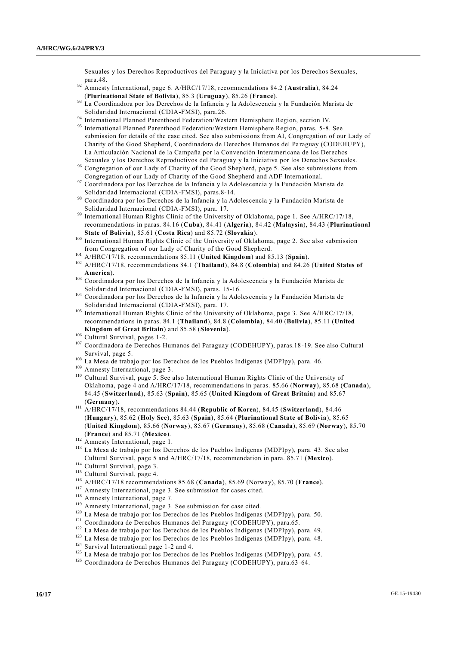Sexuales y los Derechos Reproductivos del Paraguay y la Iniciativa por los Derechos Sexuales, para.48.

- <sup>92</sup> Amnesty International, page 6. A/HRC/17/18, recommendations 84.2 (**Australia**), 84.24 (**Plurinational State of Bolivia**), 85.3 (**Uruguay**), 85.26 (**France**).
- 93 La Coordinadora por los Derechos de la Infancia y la Adolescencia y la Fundación Marista de Solidaridad Internacional (CDIA-FMSI), para.26.
- <sup>94</sup> International Planned Parenthood Federation/Western Hemisphere Region, section IV.
- <sup>95</sup> International Planned Parenthood Federation/Western Hemisphere Region, paras. 5-8. See submission for details of the case cited. See also submissions from AI, Congregation of our Lady of Charity of the Good Shepherd, Coordinadora de Derechos Humanos del Paraguay (CODEHUPY), La Articulación Nacional de la Campaña por la Convención Interamericana de los Derechos Sexuales y los Derechos Reproductivos del Paraguay y la Iniciativa por los Derechos Sexuales.
- <sup>96</sup> Congregation of our Lady of Charity of the Good Shepherd, page 5. See also submissions from Congregation of our Lady of Charity of the Good Shepherd and ADF International.
- <sup>97</sup> Coordinadora por los Derechos de la Infancia y la Adolescencia y la Fundación Marista de Solidaridad Internacional (CDIA-FMSI), paras.8-14.
- <sup>98</sup> Coordinadora por los Derechos de la Infancia y la Adolescencia y la Fundación Marista de Solidaridad Internacional (CDIA-FMSI), para. 17.
- <sup>99</sup> International Human Rights Clinic of the University of Oklahoma, page 1. See A/HRC/17/18, recommendations in paras. 84.16 (**Cuba**), 84.41 (**Algeria**), 84.42 (**Malaysia**), 84.43 (**Plurinational State of Bolivia**), 85.61 (**Costa Rica**) and 85.72 (**Slovakia**).
- <sup>100</sup> International Human Rights Clinic of the University of Oklahoma, page 2. See also submission from Congregation of our Lady of Charity of the Good Shepherd.
- <sup>101</sup> A/HRC/17/18, recommendations 85.11 (**United Kingdom**) and 85.13 (**Spain**).
- <sup>102</sup> A/HRC/17/18, recommendations 84.1 (**Thailand**), 84.8 (**Colombia**) and 84.26 (**United States of America**).
- <sup>103</sup> Coordinadora por los Derechos de la Infancia y la Adolescencia y la Fundación Marista de Solidaridad Internacional (CDIA-FMSI), paras. 15-16.
- <sup>104</sup> Coordinadora por los Derechos de la Infancia y la Adolescencia y la Fundación Marista de Solidaridad Internacional (CDIA-FMSI), para. 17.
- <sup>105</sup> International Human Rights Clinic of the University of Oklahoma, page 3. See A/HRC/17/18, recommendations in paras. 84.1 (**Thailand**), 84.8 (**Colombia**), 84.40 (**Bolivia**), 85.11 (**United Kingdom of Great Britain**) and 85.58 (**Slovenia**).
- $^{106}$  Cultural Survival, pages 1-2.
- <sup>107</sup> Coordinadora de Derechos Humanos del Paraguay (CODEHUPY), paras.18-19. See also Cultural Survival, page 5.
- La Mesa de trabajo por los Derechos de los Pueblos Indígenas (MDPIpy), para. 46.
- <sup>109</sup> Amnesty International, page 3.
- <sup>110</sup> Cultural Survival, page 5. See also International Human Rights Clinic of the University of Oklahoma, page 4 and A/HRC/17/18, recommendations in paras. 85.66 (**Norway**), 85.68 (**Canada**), 84.45 (**Switzerland**), 85.63 (**Spain**), 85.65 (**United Kingdom of Great Britain**) and 85.67 (**Germany**).
- <sup>111</sup> A/HRC/17/18, recommendations 84.44 (**Republic of Korea**), 84.45 (**Switzerland**), 84.46 (**Hungary**), 85.62 (**Holy See**), 85.63 (**Spain**), 85.64 (**Plurinational State of Bolivia**), 85.65 (**United Kingdom**), 85.66 (**Norway**), 85.67 (**Germany**), 85.68 (**Canada**), 85.69 (**Norway**), 85.70 (**France**) and 85.71 (**Mexico**).
- <sup>112</sup> Amnesty International, page 1.
- <sup>113</sup> La Mesa de trabajo por los Derechos de los Pueblos Indígenas (MDPIpy), para. 43. See also Cultural Survival, page 5 and A/HRC/17/18, recommendation in para. 85.71 (**Mexico**).
- <sup>114</sup> Cultural Survival, page 3.
- <sup>115</sup> Cultural Survival, page 4.
- <sup>116</sup> A/HRC/17/18 recommendations 85.68 (**Canada**), 85.69 (Norway), 85.70 (**France**).
- <sup>117</sup> Amnesty International, page 3. See submission for cases cited.
- <sup>118</sup> Amnesty International, page 7.
- <sup>119</sup> Amnesty International, page 3. See submission for case cited.
- <sup>120</sup> La Mesa de trabajo por los Derechos de los Pueblos Indígenas (MDPIpy), para. 50.
- <sup>121</sup> Coordinadora de Derechos Humanos del Paraguay (CODEHUPY), para.65.
- <sup>122</sup> La Mesa de trabajo por los Derechos de los Pueblos Indígenas (MDPIpy), para. 49.
- <sup>123</sup> La Mesa de trabajo por los Derechos de los Pueblos Indígenas (MDPIpy), para. 48.
- <sup>124</sup> Survival International page 1-2 and 4.
- <sup>125</sup> La Mesa de trabajo por los Derechos de los Pueblos Indígenas (MDPIpy), para. 45.
- <sup>126</sup> Coordinadora de Derechos Humanos del Paraguay (CODEHUPY), para.63-64.